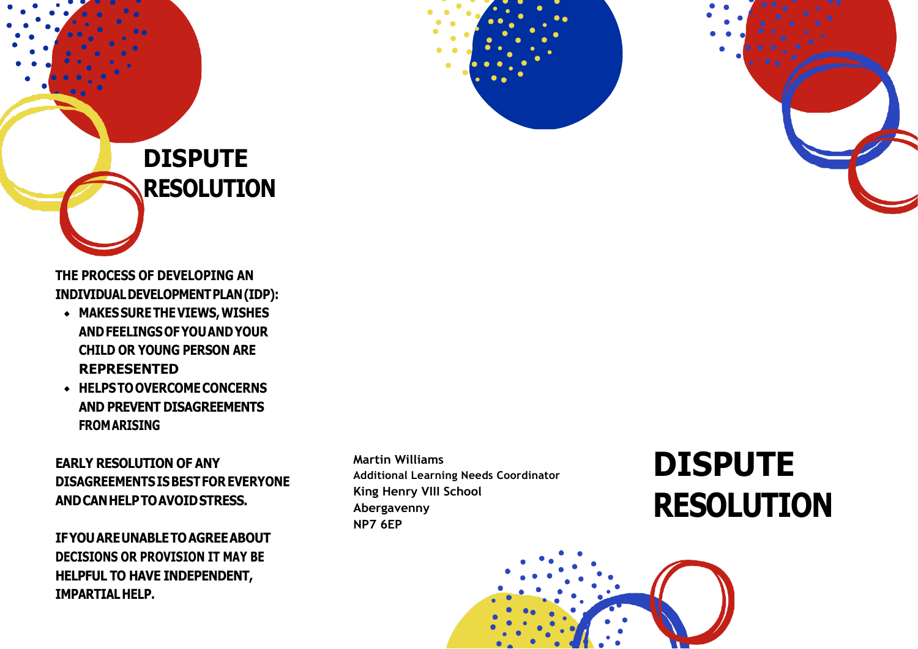

## **DISPUTE RESOLUTION**

**THE PROCESS OF DEVELOPING AN INDIVIDUALDEVELOPMENTPLAN(IDP):**

- **MAKESSURETHEVIEWS,WISHES ANDFEELINGSOFYOUANDYOUR CHILD OR YOUNG PERSON ARE REPRESENTED**
- **HELPSTOOVERCOMECONCERNS AND PREVENT DISAGREEMENTS FROMARISING**

**EARLY RESOLUTION OF ANY DISAGREEMENTSISBESTFOR EVERYONE ANDCANHELPTOAVOIDSTRESS.**

**IFYOUAREUNABLETOAGREEABOUT DECISIONS OR PROVISION IT MAY BE HELPFUL TO HAVE INDEPENDENT, IMPARTIALHELP.**

**Martin Williams Additional Learning Needs Coordinator King Henry VIII School Abergavenny NP7 6EP**

## **DISPUTE RESOLUTION**